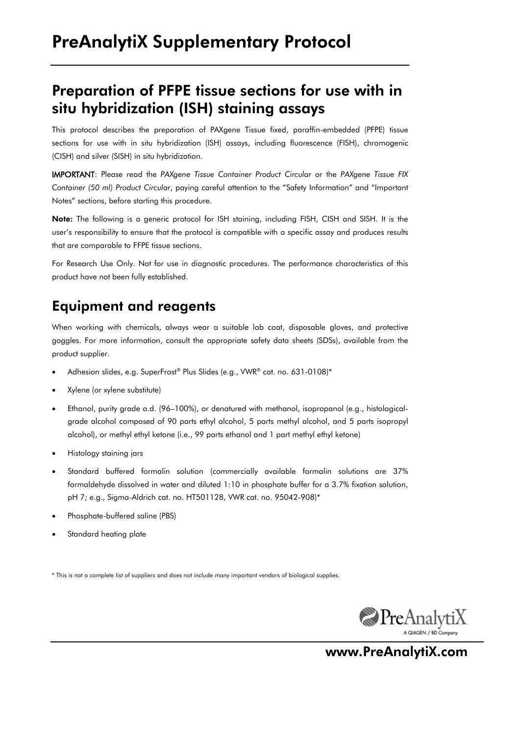## Preparation of PFPE tissue sections for use with in situ hybridization (ISH) staining assays

This protocol describes the preparation of PAXgene Tissue fixed, paraffin-embedded (PFPE) tissue sections for use with in situ hybridization (ISH) assays, including fluorescence (FISH), chromogenic (CISH) and silver (SISH) in situ hybridization.

IMPORTANT: Please read the *PAXgene Tissue Container Product Circular* or the *PAXgene Tissue FIX Container (50 ml) Product Circular*, paying careful attention to the "Safety Information" and "Important Notes" sections, before starting this procedure.

Note: The following is a generic protocol for ISH staining, including FISH, CISH and SISH. It is the user's responsibility to ensure that the protocol is compatible with a specific assay and produces results that are comparable to FFPE tissue sections.

For Research Use Only. Not for use in diagnostic procedures. The performance characteristics of this product have not been fully established.

#### Equipment and reagents

When working with chemicals, always wear a suitable lab coat, disposable gloves, and protective goggles. For more information, consult the appropriate safety data sheets (SDSs), available from the product supplier.

- Adhesion slides, e.g. SuperFrost® Plus Slides (e.g., VWR® cat. no. 631-0108)\*
- Xylene (or xylene substitute)
- Ethanol, purity grade a.d. (96–100%), or denatured with methanol, isopropanol (e.g., histologicalgrade alcohol composed of 90 parts ethyl alcohol, 5 parts methyl alcohol, and 5 parts isopropyl alcohol), or methyl ethyl ketone (i.e., 99 parts ethanol and 1 part methyl ethyl ketone)
- Histology staining jars
- Standard buffered formalin solution (commercially available formalin solutions are 37% formaldehyde dissolved in water and diluted 1:10 in phosphate buffer for a 3.7% fixation solution, pH 7; e.g., Sigma-Aldrich cat. no. HT501128, VWR cat. no. 95042-908)\*
- Phosphate-buffered saline (PBS)
- Standard heating plate

\* This is not a complete list of suppliers and does not include many important vendors of biological supplies.



www.PreAnalytiX.com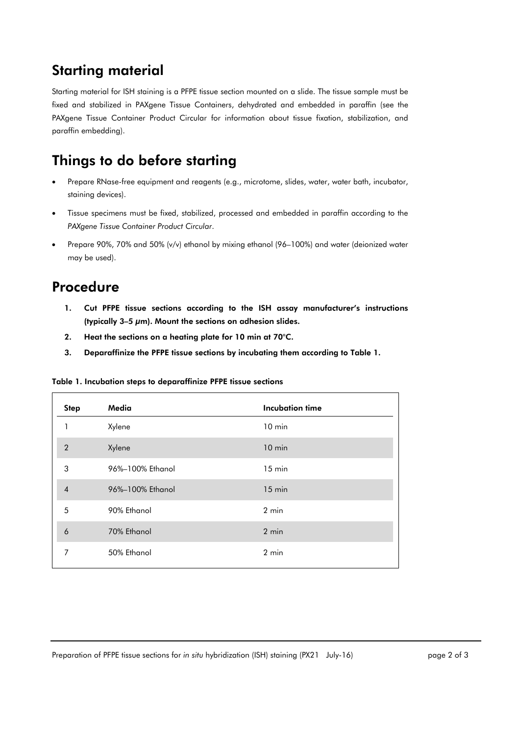### Starting material

Starting material for ISH staining is a PFPE tissue section mounted on a slide. The tissue sample must be fixed and stabilized in PAXgene Tissue Containers, dehydrated and embedded in paraffin (see the PAXgene Tissue Container Product Circular for information about tissue fixation, stabilization, and paraffin embedding).

# Things to do before starting

- Prepare RNase-free equipment and reagents (e.g., microtome, slides, water, water bath, incubator, staining devices).
- Tissue specimens must be fixed, stabilized, processed and embedded in paraffin according to the *PAXgene Tissue Container Product Circular*.
- Prepare 90%, 70% and 50% (v/v) ethanol by mixing ethanol (96–100%) and water (deionized water may be used).

#### Procedure

- 1. Cut PFPE tissue sections according to the ISH assay manufacturer's instructions (typically 3–5 µm). Mount the sections on adhesion slides.
- 2. Heat the sections on a heating plate for 10 min at 70°C.
- 3. Deparaffinize the PFPE tissue sections by incubating them according to Table 1.

Table 1. Incubation steps to deparaffinize PFPE tissue sections

| <b>Step</b>    | Media            | <b>Incubation time</b> |
|----------------|------------------|------------------------|
| 1              | Xylene           | $10 \text{ min}$       |
| $\overline{2}$ | Xylene           | $10$ min               |
| 3              | 96%-100% Ethanol | $15 \text{ min}$       |
| $\overline{4}$ | 96%-100% Ethanol | $15 \text{ min}$       |
| 5              | 90% Ethanol      | $2 \text{ min}$        |
| 6              | 70% Ethanol      | 2 min                  |
| 7              | 50% Ethanol      | $2$ min                |